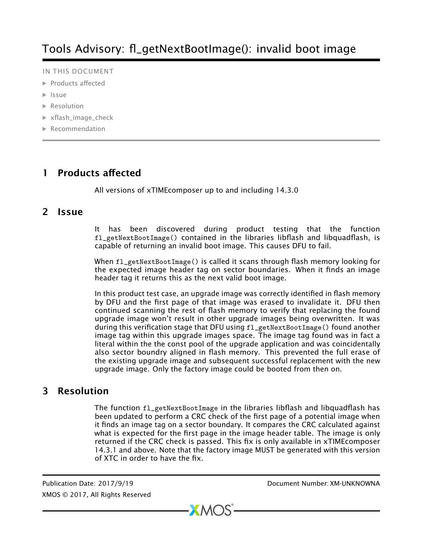IN THIS DOCUMENT

- · [Products affected](#page-0-0)
- · [Issue](#page-0-1)
- $\triangleright$  [Resolution](#page-0-2)
- $\triangleright$  xflash image check
- · [Recommendation](#page-1-1)

# 1 Products affected

<span id="page-0-1"></span><span id="page-0-0"></span>All versions of xTIMEcomposer up to and including 14.3.0

#### 2 Issue

It has been discovered during product testing that the function fl\_getNextBootImage() contained in the libraries libflash and libquadflash, is capable of returning an invalid boot image. This causes DFU to fail.

When fl\_getNextBootImage() is called it scans through flash memory looking for the expected image header tag on sector boundaries. When it finds an image header tag it returns this as the next valid boot image.

In this product test case, an upgrade image was correctly identified in flash memory by DFU and the first page of that image was erased to invalidate it. DFU then continued scanning the rest of flash memory to verify that replacing the found upgrade image won't result in other upgrade images being overwritten. It was during this verification stage that DFU using fl\_getNextBootImage() found another image tag within this upgrade images space. The image tag found was in fact a literal within the the const pool of the upgrade application and was coincidentally also sector boundry aligned in flash memory. This prevented the full erase of the existing upgrade image and subsequent successful replacement with the new upgrade image. Only the factory image could be booted from then on.

# 3 Resolution

<span id="page-0-2"></span>The function fl\_getNextBootImage in the libraries libflash and libquadflash has been updated to perform a CRC check of the first page of a potential image when it finds an image tag on a sector boundary. It compares the CRC calculated against what is expected for the first page in the image header table. The image is only returned if the CRC check is passed. This fix is only available in xTIMEcomposer 14.3.1 and above. Note that the factory image MUST be generated with this version of XTC in order to have the fix.

XMOS © 2017, All Rights Reserved

Publication Date: 2017/9/19 Document Number: XM-UNKNOWNA